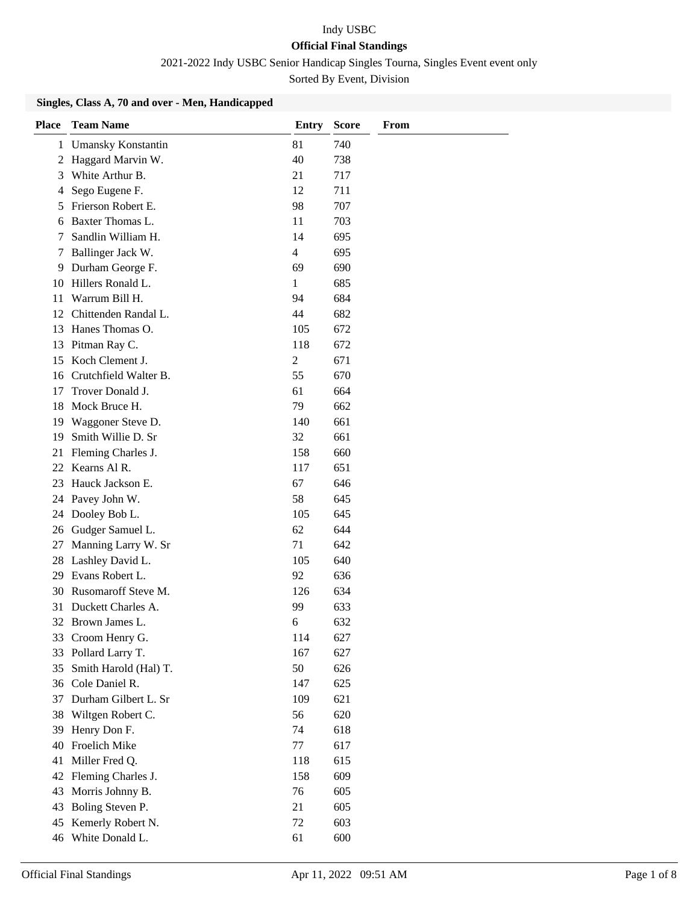2021-2022 Indy USBC Senior Handicap Singles Tourna, Singles Event event only

Sorted By Event, Division

### **Singles, Class A, 70 and over - Men, Handicapped**

| <b>Place</b> | <b>Team Name</b>                             | <b>Entry</b> | <b>Score</b> | From |
|--------------|----------------------------------------------|--------------|--------------|------|
| 1            | <b>Umansky Konstantin</b>                    | 81           | 740          |      |
| 2            | Haggard Marvin W.                            | 40           | 738          |      |
| 3            | White Arthur B.                              | 21           | 717          |      |
| 4            | Sego Eugene F.                               | 12           | 711          |      |
|              | 5 Frierson Robert E.                         | 98           | 707          |      |
| 6            | Baxter Thomas L.                             | 11           | 703          |      |
| 7            | Sandlin William H.                           | 14           | 695          |      |
| 7            | Ballinger Jack W.                            | 4            | 695          |      |
| 9            | Durham George F.                             | 69           | 690          |      |
| 10           | Hillers Ronald L.                            | 1            | 685          |      |
| 11           | Warrum Bill H.                               | 94           | 684          |      |
| 12           | Chittenden Randal L.                         | 44           | 682          |      |
|              | 13 Hanes Thomas O.                           | 105          | 672          |      |
|              | 13 Pitman Ray C.                             | 118          | 672          |      |
| 15           | Koch Clement J.                              | 2            | 671          |      |
| 16           | Crutchfield Walter B.                        | 55           | 670          |      |
| 17           | Trover Donald J.                             | 61           | 664          |      |
| 18           | Mock Bruce H.                                | 79           | 662          |      |
| 19           | Waggoner Steve D.                            | 140          | 661          |      |
| 19           | Smith Willie D. Sr                           | 32           | 661          |      |
| 21           | Fleming Charles J.                           | 158          | 660          |      |
|              | 22 Kearns Al R.                              | 117          | 651          |      |
| 23           | Hauck Jackson E.                             | 67           | 646          |      |
| 24           | Pavey John W.                                | 58           | 645          |      |
| 24           | Dooley Bob L.                                | 105          | 645          |      |
| 26           | Gudger Samuel L.                             | 62           | 644          |      |
| 27           | Manning Larry W. Sr                          | 71           | 642          |      |
|              | 28 Lashley David L.                          | 105          | 640          |      |
|              | 29 Evans Robert L.                           | 92           | 636          |      |
|              | 30 Rusomaroff Steve M.<br>Duckett Charles A. | 126          | 634          |      |
| 31           |                                              | 99           | 633          |      |
|              | 32 Brown James L.                            | 6            | 632          |      |
|              | 33 Croom Henry G.<br>Pollard Larry T.        | 114<br>167   | 627<br>627   |      |
| 33<br>35     | Smith Harold (Hal) T.                        | 50           | 626          |      |
| 36           | Cole Daniel R.                               | 147          | 625          |      |
| 37           | Durham Gilbert L. Sr                         | 109          | 621          |      |
| 38           | Wiltgen Robert C.                            | 56           | 620          |      |
| 39           | Henry Don F.                                 | 74           | 618          |      |
| 40           | Froelich Mike                                | 77           | 617          |      |
| 41           | Miller Fred Q.                               | 118          | 615          |      |
| 42           | Fleming Charles J.                           | 158          | 609          |      |
| 43           | Morris Johnny B.                             | 76           | 605          |      |
| 43           | Boling Steven P.                             | 21           | 605          |      |
| 45           | Kemerly Robert N.                            | 72           | 603          |      |
|              | 46 White Donald L.                           | 61           | 600          |      |
|              |                                              |              |              |      |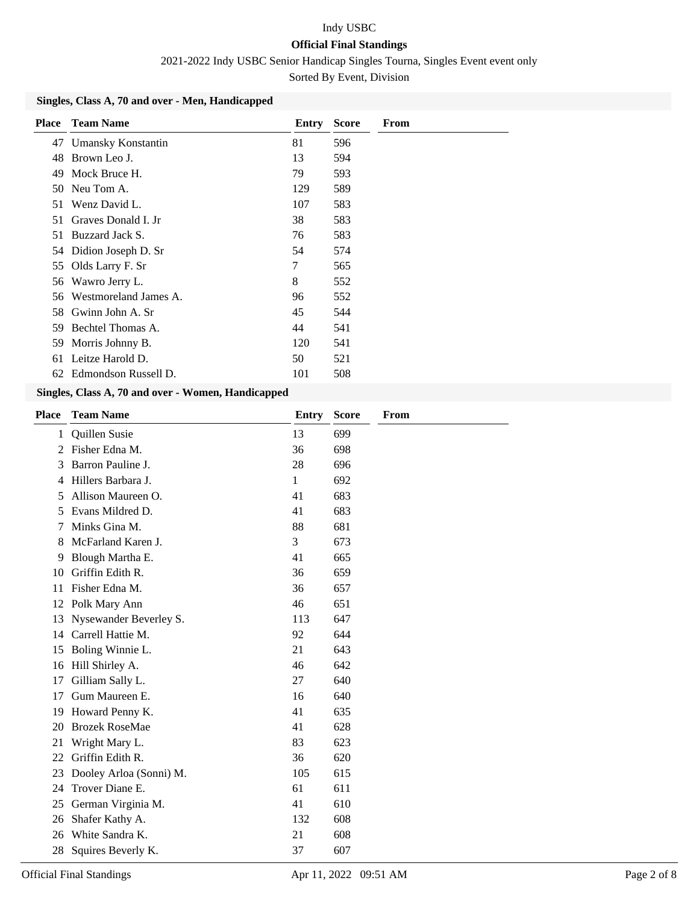2021-2022 Indy USBC Senior Handicap Singles Tourna, Singles Event event only

Sorted By Event, Division

### **Singles, Class A, 70 and over - Men, Handicapped**

| <b>Place</b> | <b>Team Name</b>       | Entry | <b>Score</b> | From |
|--------------|------------------------|-------|--------------|------|
|              | 47 Umansky Konstantin  | 81    | 596          |      |
| 48           | Brown Leo J.           | 13    | 594          |      |
| 49           | Mock Bruce H.          | 79    | 593          |      |
| 50           | Neu Tom A.             | 129   | 589          |      |
| 51           | Wenz David L.          | 107   | 583          |      |
| 51           | Graves Donald I. Jr    | 38    | 583          |      |
| 51           | Buzzard Jack S.        | 76    | 583          |      |
|              | 54 Didion Joseph D. Sr | 54    | 574          |      |
| 55           | Olds Larry F. Sr       | 7     | 565          |      |
| 56           | Wawro Jerry L.         | 8     | 552          |      |
| 56           | Westmoreland James A.  | 96    | 552          |      |
| 58           | Gwinn John A. Sr       | 45    | 544          |      |
| 59           | Bechtel Thomas A.      | 44    | 541          |      |
| 59           | Morris Johnny B.       | 120   | 541          |      |
| 61           | Leitze Harold D.       | 50    | 521          |      |
| 62           | Edmondson Russell D.   | 101   | 508          |      |

#### **Singles, Class A, 70 and over - Women, Handicapped**

| <b>Place</b> | <b>Team Name</b>        | <b>Entry</b> | <b>Score</b> | <b>From</b> |
|--------------|-------------------------|--------------|--------------|-------------|
| 1            | Quillen Susie           | 13           | 699          |             |
| 2            | Fisher Edna M.          | 36           | 698          |             |
| 3            | Barron Pauline J.       | 28           | 696          |             |
| 4            | Hillers Barbara J.      | 1            | 692          |             |
| 5            | Allison Maureen O.      | 41           | 683          |             |
| 5            | Evans Mildred D.        | 41           | 683          |             |
| 7            | Minks Gina M.           | 88           | 681          |             |
| 8            | McFarland Karen J.      | 3            | 673          |             |
| 9            | Blough Martha E.        | 41           | 665          |             |
| 10           | Griffin Edith R.        | 36           | 659          |             |
| 11           | Fisher Edna M.          | 36           | 657          |             |
| 12           | Polk Mary Ann           | 46           | 651          |             |
| 13           | Nysewander Beverley S.  | 113          | 647          |             |
| 14           | Carrell Hattie M.       | 92           | 644          |             |
| 15           | Boling Winnie L.        | 21           | 643          |             |
| 16           | Hill Shirley A.         | 46           | 642          |             |
| 17           | Gilliam Sally L.        | 27           | 640          |             |
| 17           | Gum Maureen E.          | 16           | 640          |             |
| 19           | Howard Penny K.         | 41           | 635          |             |
| 20           | <b>Brozek RoseMae</b>   | 41           | 628          |             |
| 21           | Wright Mary L.          | 83           | 623          |             |
| 22           | Griffin Edith R.        | 36           | 620          |             |
| 23           | Dooley Arloa (Sonni) M. | 105          | 615          |             |
| 24           | Trover Diane E.         | 61           | 611          |             |
| 25           | German Virginia M.      | 41           | 610          |             |
| 26           | Shafer Kathy A.         | 132          | 608          |             |
| 26           | White Sandra K.         | 21           | 608          |             |
| 28           | Squires Beverly K.      | 37           | 607          |             |
|              |                         |              |              |             |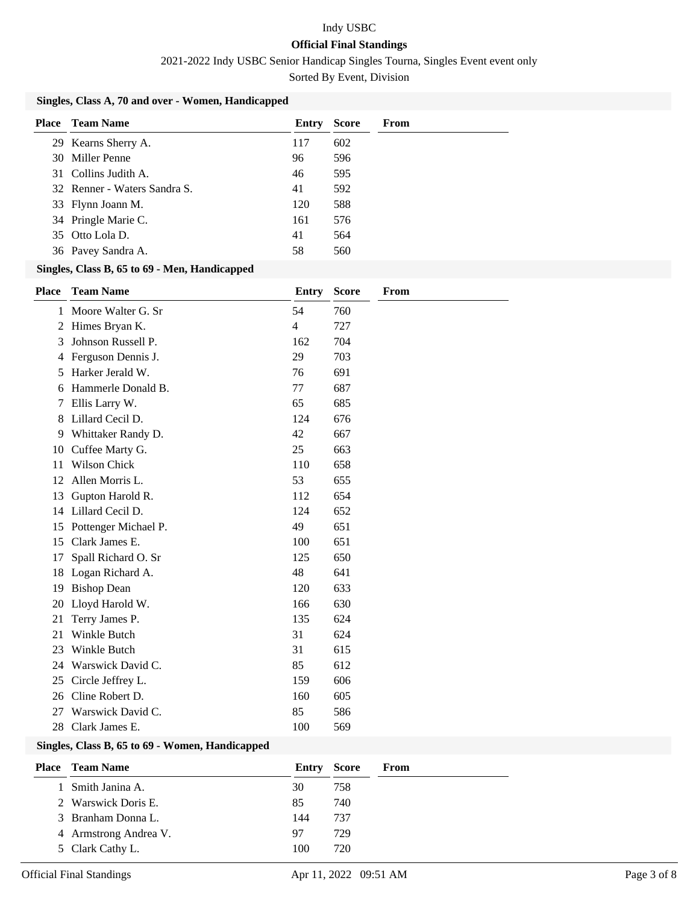2021-2022 Indy USBC Senior Handicap Singles Tourna, Singles Event event only

Sorted By Event, Division

### **Singles, Class A, 70 and over - Women, Handicapped**

| Place | Team Name                    | Entry | <b>Score</b> | From |
|-------|------------------------------|-------|--------------|------|
|       | 29 Kearns Sherry A.          | 117   | 602          |      |
|       | 30 Miller Penne              | 96    | 596          |      |
|       | 31 Collins Judith A.         | 46    | 595          |      |
|       | 32 Renner - Waters Sandra S. | 41    | 592          |      |
|       | 33 Flynn Joann M.            | 120   | 588          |      |
|       | 34 Pringle Marie C.          | 161   | 576          |      |
|       | 35 Otto Lola D.              | 41    | 564          |      |
|       | 36 Pavey Sandra A.           | 58    | 560          |      |

#### **Singles, Class B, 65 to 69 - Men, Handicapped**

| <b>Place</b> | <b>Team Name</b>                                                                                       | Entry | <b>Score</b> | From |
|--------------|--------------------------------------------------------------------------------------------------------|-------|--------------|------|
|              | 1 Moore Walter G. Sr                                                                                   | 54    | 760          |      |
| 2            | Himes Bryan K.                                                                                         | 4     | 727          |      |
| 3            | Johnson Russell P.                                                                                     | 162   | 704          |      |
| 4            | Ferguson Dennis J.                                                                                     | 29    | 703          |      |
| 5.           | Harker Jerald W.                                                                                       | 76    | 691          |      |
| 6            | Hammerle Donald B.                                                                                     | 77    | 687          |      |
| 7            | Ellis Larry W.                                                                                         | 65    | 685          |      |
| 8            | Lillard Cecil D.                                                                                       | 124   | 676          |      |
| 9            | Whittaker Randy D.                                                                                     | 42    | 667          |      |
| 10           | Cuffee Marty G.                                                                                        | 25    | 663          |      |
| 11           | Wilson Chick                                                                                           | 110   | 658          |      |
| 12           | Allen Morris L.                                                                                        | 53    | 655          |      |
| 13           | Gupton Harold R.                                                                                       | 112   | 654          |      |
| 14           | Lillard Cecil D.                                                                                       | 124   | 652          |      |
| 15           | Pottenger Michael P.                                                                                   | 49    | 651          |      |
| 15           | Clark James E.                                                                                         | 100   | 651          |      |
| 17           | Spall Richard O. Sr                                                                                    | 125   | 650          |      |
| 18           | Logan Richard A.                                                                                       | 48    | 641          |      |
| 19           | <b>Bishop Dean</b>                                                                                     | 120   | 633          |      |
| 20           | Lloyd Harold W.                                                                                        | 166   | 630          |      |
| 21           | Terry James P.                                                                                         | 135   | 624          |      |
| 21           | Winkle Butch                                                                                           | 31    | 624          |      |
| 23           | Winkle Butch                                                                                           | 31    | 615          |      |
| 24           | Warswick David C.                                                                                      | 85    | 612          |      |
| 25           | Circle Jeffrey L.                                                                                      | 159   | 606          |      |
| 26           | Cline Robert D.                                                                                        | 160   | 605          |      |
| 27           | Warswick David C.                                                                                      | 85    | 586          |      |
| 28           | Clark James E.                                                                                         | 100   | 569          |      |
|              | $\mathbf{C}$ ingles $\mathbf{C}$ loss $\mathbf{D}$ , $\mathbf{C}$ to $\mathbf{C}$ . We use Handisonned |       |              |      |

#### **Singles, Class B, 65 to 69 - Women, Handicapped**

| <b>Place</b> Team Name | Entry Score |     | From |
|------------------------|-------------|-----|------|
| 1 Smith Janina A.      | 30          | 758 |      |
| 2 Warswick Doris E.    | 85          | 740 |      |
| 3 Branham Donna L.     | 144         | 737 |      |
| 4 Armstrong Andrea V.  | 97          | 729 |      |
| 5 Clark Cathy L.       | 100         | 720 |      |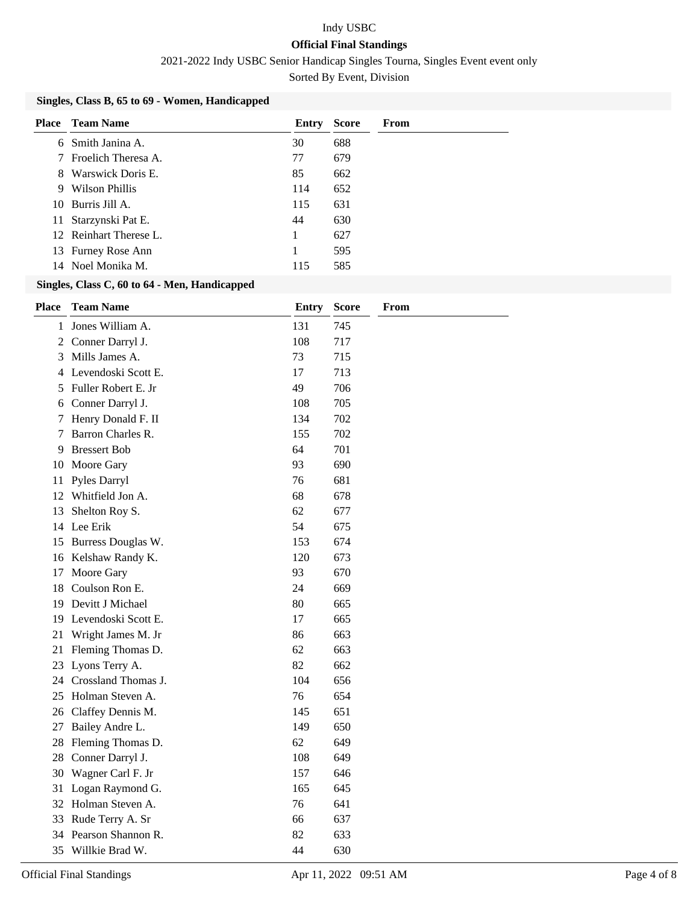2021-2022 Indy USBC Senior Handicap Singles Tourna, Singles Event event only

Sorted By Event, Division

### **Singles, Class B, 65 to 69 - Women, Handicapped**

| Place | Team Name              | Entry | <b>Score</b> | From |
|-------|------------------------|-------|--------------|------|
| 6.    | Smith Janina A.        | 30    | 688          |      |
|       | Froelich Theresa A.    | 77    | 679          |      |
| 8     | Warswick Doris E.      | 85    | 662          |      |
| 9     | Wilson Phillis         | 114   | 652          |      |
|       | 10 Burris Jill A.      | 115   | 631          |      |
|       | 11 Starzynski Pat E.   | 44    | 630          |      |
|       | 12 Reinhart Therese L. | 1     | 627          |      |
|       | 13 Furney Rose Ann     | 1     | 595          |      |
|       | 14 Noel Monika M.      | 115   | 585          |      |

### **Singles, Class C, 60 to 64 - Men, Handicapped**

| <b>Place</b>   | <b>Team Name</b>       | <b>Entry</b> | <b>Score</b> | From |
|----------------|------------------------|--------------|--------------|------|
| 1              | Jones William A.       | 131          | 745          |      |
| $\overline{2}$ | Conner Darryl J.       | 108          | 717          |      |
| 3              | Mills James A.         | 73           | 715          |      |
| 4              | Levendoski Scott E.    | 17           | 713          |      |
| 5              | Fuller Robert E. Jr    | 49           | 706          |      |
| 6              | Conner Darryl J.       | 108          | 705          |      |
| 7              | Henry Donald F. II     | 134          | 702          |      |
| 7              | Barron Charles R.      | 155          | 702          |      |
| 9              | <b>Bressert Bob</b>    | 64           | 701          |      |
| 10             | Moore Gary             | 93           | 690          |      |
| 11             | Pyles Darryl           | 76           | 681          |      |
|                | 12 Whitfield Jon A.    | 68           | 678          |      |
| 13             | Shelton Roy S.         | 62           | 677          |      |
|                | 14 Lee Erik            | 54           | 675          |      |
| 15             | Burress Douglas W.     | 153          | 674          |      |
|                | 16 Kelshaw Randy K.    | 120          | 673          |      |
| 17             | Moore Gary             | 93           | 670          |      |
| 18             | Coulson Ron E.         | 24           | 669          |      |
| 19             | Devitt J Michael       | 80           | 665          |      |
| 19             | Levendoski Scott E.    | 17           | 665          |      |
| 21             | Wright James M. Jr     | 86           | 663          |      |
| 21             | Fleming Thomas D.      | 62           | 663          |      |
| 23             | Lyons Terry A.         | 82           | 662          |      |
|                | 24 Crossland Thomas J. | 104          | 656          |      |
| 25             | Holman Steven A.       | 76           | 654          |      |
| 26             | Claffey Dennis M.      | 145          | 651          |      |
| 27             | Bailey Andre L.        | 149          | 650          |      |
| 28             | Fleming Thomas D.      | 62           | 649          |      |
| 28             | Conner Darryl J.       | 108          | 649          |      |
| 30             | Wagner Carl F. Jr      | 157          | 646          |      |
| 31             | Logan Raymond G.       | 165          | 645          |      |
| 32             | Holman Steven A.       | 76           | 641          |      |
| 33             | Rude Terry A. Sr       | 66           | 637          |      |
| 34             | Pearson Shannon R.     | 82           | 633          |      |
| 35             | Willkie Brad W.        | 44           | 630          |      |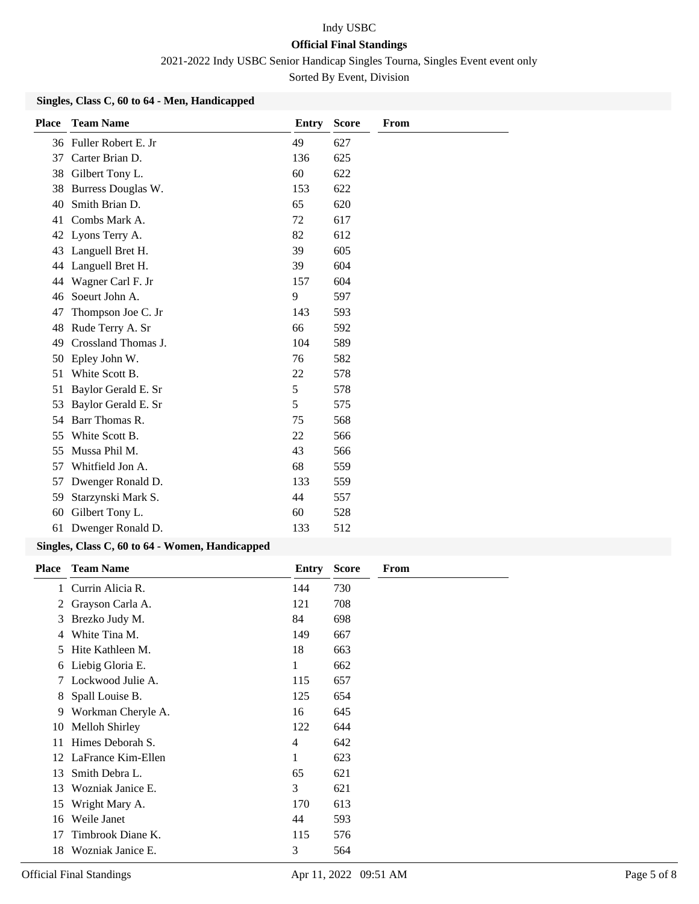2021-2022 Indy USBC Senior Handicap Singles Tourna, Singles Event event only

Sorted By Event, Division

### **Singles, Class C, 60 to 64 - Men, Handicapped**

| <b>Place</b> | <b>Team Name</b>    | Entry | <b>Score</b> | From |
|--------------|---------------------|-------|--------------|------|
| 36           | Fuller Robert E. Jr | 49    | 627          |      |
| 37           | Carter Brian D.     | 136   | 625          |      |
| 38           | Gilbert Tony L.     | 60    | 622          |      |
| 38           | Burress Douglas W.  | 153   | 622          |      |
| 40           | Smith Brian D.      | 65    | 620          |      |
| 41           | Combs Mark A.       | 72    | 617          |      |
| 42           | Lyons Terry A.      | 82    | 612          |      |
| 43           | Languell Bret H.    | 39    | 605          |      |
| 44           | Languell Bret H.    | 39    | 604          |      |
| 44           | Wagner Carl F. Jr   | 157   | 604          |      |
| 46           | Soeurt John A.      | 9     | 597          |      |
| 47           | Thompson Joe C. Jr  | 143   | 593          |      |
| 48           | Rude Terry A. Sr    | 66    | 592          |      |
| 49           | Crossland Thomas J. | 104   | 589          |      |
| 50           | Epley John W.       | 76    | 582          |      |
| 51           | White Scott B.      | 22    | 578          |      |
| 51           | Baylor Gerald E. Sr | 5     | 578          |      |
| 53           | Baylor Gerald E. Sr | 5     | 575          |      |
| 54           | Barr Thomas R.      | 75    | 568          |      |
| 55           | White Scott B.      | 22    | 566          |      |
| 55           | Mussa Phil M.       | 43    | 566          |      |
| 57           | Whitfield Jon A.    | 68    | 559          |      |
| 57           | Dwenger Ronald D.   | 133   | 559          |      |
| 59           | Starzynski Mark S.  | 44    | 557          |      |
| 60           | Gilbert Tony L.     | 60    | 528          |      |
| 61           | Dwenger Ronald D.   | 133   | 512          |      |

### **Singles, Class C, 60 to 64 - Women, Handicapped**

| <b>Place</b> | <b>Team Name</b>   | Entry | <b>Score</b> | From |
|--------------|--------------------|-------|--------------|------|
| 1            | Currin Alicia R.   | 144   | 730          |      |
| 2            | Grayson Carla A.   | 121   | 708          |      |
| 3            | Brezko Judy M.     | 84    | 698          |      |
| 4            | White Tina M.      | 149   | 667          |      |
| 5            | Hite Kathleen M.   | 18    | 663          |      |
| 6            | Liebig Gloria E.   | 1     | 662          |      |
| 7            | Lockwood Julie A.  | 115   | 657          |      |
| 8            | Spall Louise B.    | 125   | 654          |      |
| 9            | Workman Cheryle A. | 16    | 645          |      |
| 10           | Melloh Shirley     | 122   | 644          |      |
| 11           | Himes Deborah S.   | 4     | 642          |      |
| 12           | LaFrance Kim-Ellen | 1     | 623          |      |
| 13           | Smith Debra L.     | 65    | 621          |      |
| 13           | Wozniak Janice E.  | 3     | 621          |      |
| 15           | Wright Mary A.     | 170   | 613          |      |
| 16           | Weile Janet        | 44    | 593          |      |
| 17           | Timbrook Diane K.  | 115   | 576          |      |
| 18           | Wozniak Janice E.  | 3     | 564          |      |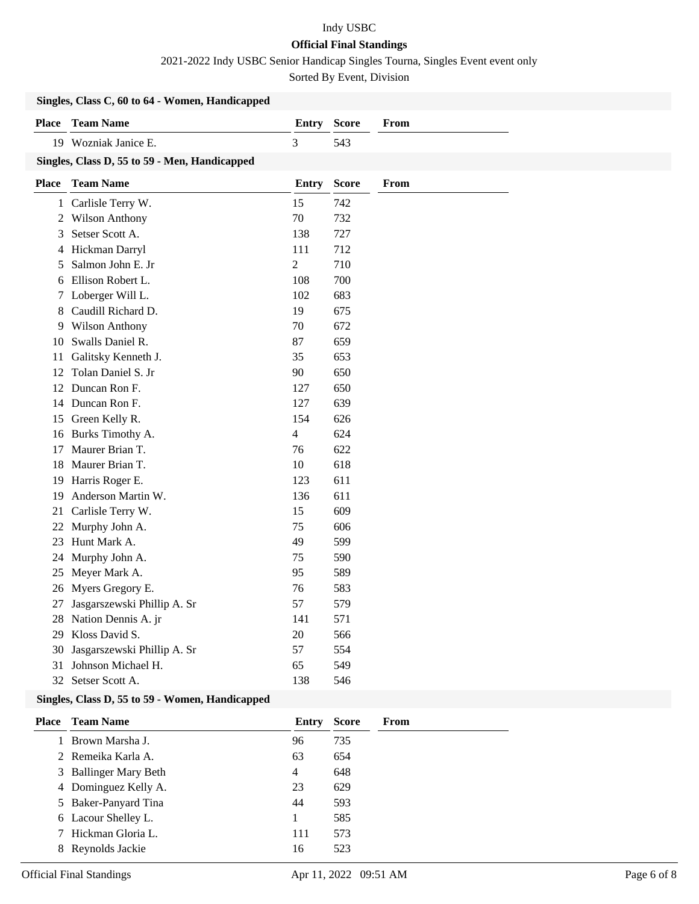2021-2022 Indy USBC Senior Handicap Singles Tourna, Singles Event event only

Sorted By Event, Division

|              | Singles, Class C, 60 to 64 - Women, Handicapped |                |              |      |
|--------------|-------------------------------------------------|----------------|--------------|------|
| <b>Place</b> | <b>Team Name</b>                                | <b>Entry</b>   | <b>Score</b> | From |
|              | 19 Wozniak Janice E.                            | $\overline{3}$ | 543          |      |
|              | Singles, Class D, 55 to 59 - Men, Handicapped   |                |              |      |
| <b>Place</b> | <b>Team Name</b>                                | <b>Entry</b>   | <b>Score</b> | From |
| $\mathbf{1}$ | Carlisle Terry W.                               | 15             | 742          |      |
| 2            | <b>Wilson Anthony</b>                           | 70             | 732          |      |
| 3            | Setser Scott A.                                 | 138            | 727          |      |
| 4            | Hickman Darryl                                  | 111            | 712          |      |
| 5            | Salmon John E. Jr                               | $\overline{2}$ | 710          |      |
| 6            | Ellison Robert L.                               | 108            | 700          |      |
| 7            | Loberger Will L.                                | 102            | 683          |      |
| 8            | Caudill Richard D.                              | 19             | 675          |      |
| 9            | Wilson Anthony                                  | 70             | 672          |      |
| 10           | Swalls Daniel R.                                | 87             | 659          |      |
| 11           | Galitsky Kenneth J.                             | 35             | 653          |      |
| 12           | Tolan Daniel S. Jr                              | 90             | 650          |      |
| 12           | Duncan Ron F.                                   | 127            | 650          |      |
| 14           | Duncan Ron F.                                   | 127            | 639          |      |
| 15           | Green Kelly R.                                  | 154            | 626          |      |
| 16           | Burks Timothy A.                                | $\overline{4}$ | 624          |      |
| 17           | Maurer Brian T.                                 | 76             | 622          |      |
| 18           | Maurer Brian T.                                 | $10\,$         | 618          |      |
| 19           | Harris Roger E.                                 | 123            | 611          |      |
| 19           | Anderson Martin W.                              | 136            | 611          |      |
| 21           | Carlisle Terry W.                               | 15             | 609          |      |
| 22           | Murphy John A.                                  | 75             | 606          |      |
| 23           | Hunt Mark A.                                    | 49             | 599          |      |
| 24           | Murphy John A.                                  | 75             | 590          |      |
| 25           | Meyer Mark A.                                   | 95             | 589          |      |
| 26           | Myers Gregory E.                                | 76             | 583          |      |
| 27           | Jasgarszewski Phillip A. Sr                     | 57             | 579          |      |
| 28           | Nation Dennis A. jr                             | 141            | 571          |      |
| 29           | Kloss David S.                                  | 20             | 566          |      |
| 30           | Jasgarszewski Phillip A. Sr                     | 57             | 554          |      |
| 31           | Johnson Michael H.                              | 65             | 549          |      |
| 32           | Setser Scott A.                                 | 138            | 546          |      |
|              | Singles, Class D, 55 to 59 - Women, Handicapped |                |              |      |

| Place | <b>Team Name</b>      | Entry | <b>Score</b> | From |
|-------|-----------------------|-------|--------------|------|
|       | 1 Brown Marsha J.     | 96    | 735          |      |
|       | 2 Remeika Karla A.    | 63    | 654          |      |
|       | 3 Ballinger Mary Beth | 4     | 648          |      |
|       | 4 Dominguez Kelly A.  | 23    | 629          |      |
|       | 5 Baker-Panyard Tina  | 44    | 593          |      |
|       | 6 Lacour Shelley L.   |       | 585          |      |
|       | 7 Hickman Gloria L.   | 111   | 573          |      |
|       | Reynolds Jackie       | 16    | 523          |      |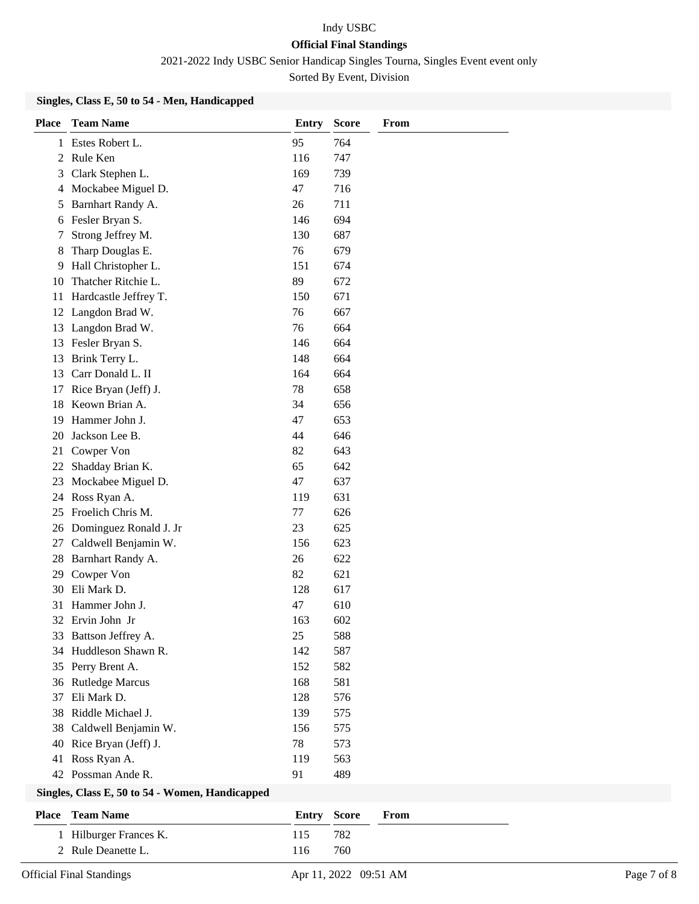2021-2022 Indy USBC Senior Handicap Singles Tourna, Singles Event event only

Sorted By Event, Division

### **Singles, Class E, 50 to 54 - Men, Handicapped**

| <b>Place</b> | <b>Team Name</b>       | <b>Entry</b> | <b>Score</b> | From |
|--------------|------------------------|--------------|--------------|------|
|              | 1 Estes Robert L.      | 95           | 764          |      |
| 2            | Rule Ken               | 116          | 747          |      |
| 3            | Clark Stephen L.       | 169          | 739          |      |
| 4            | Mockabee Miguel D.     | 47           | 716          |      |
| 5            | Barnhart Randy A.      | 26           | 711          |      |
|              | 6 Fesler Bryan S.      | 146          | 694          |      |
| 7            | Strong Jeffrey M.      | 130          | 687          |      |
| 8            | Tharp Douglas E.       | 76           | 679          |      |
| 9.           | Hall Christopher L.    | 151          | 674          |      |
| 10           | Thatcher Ritchie L.    | 89           | 672          |      |
| 11           | Hardcastle Jeffrey T.  | 150          | 671          |      |
| 12           | Langdon Brad W.        | 76           | 667          |      |
| 13           | Langdon Brad W.        | 76           | 664          |      |
| 13           | Fesler Bryan S.        | 146          | 664          |      |
| 13           | Brink Terry L.         | 148          | 664          |      |
| 13           | Carr Donald L. II      | 164          | 664          |      |
| 17           | Rice Bryan (Jeff) J.   | 78           | 658          |      |
| 18           | Keown Brian A.         | 34           | 656          |      |
| 19           | Hammer John J.         | 47           | 653          |      |
| 20           | Jackson Lee B.         | 44           | 646          |      |
| 21           | Cowper Von             | 82           | 643          |      |
| 22           | Shadday Brian K.       | 65           | 642          |      |
| 23           | Mockabee Miguel D.     | 47           | 637          |      |
| 24           | Ross Ryan A.           | 119          | 631          |      |
| 25           | Froelich Chris M.      | 77           | 626          |      |
| 26           | Dominguez Ronald J. Jr | 23           | 625          |      |
| 27           | Caldwell Benjamin W.   | 156          | 623          |      |
| 28           | Barnhart Randy A.      | 26           | 622          |      |
| 29           | Cowper Von             | 82           | 621          |      |
| 30           | Eli Mark D.            | 128          | 617          |      |
| 31           | Hammer John J.         | 47           | 610          |      |
|              | 32 Ervin John Jr       | 163          | 602          |      |
|              | 33 Battson Jeffrey A.  | 25           | 588          |      |
| 34           | Huddleson Shawn R.     | 142          | 587          |      |
| 35           | Perry Brent A.         | 152          | 582          |      |
| 36           | <b>Rutledge Marcus</b> | 168          | 581          |      |
| 37           | Eli Mark D.            | 128          | 576          |      |
| 38           | Riddle Michael J.      | 139          | 575          |      |
| 38           | Caldwell Benjamin W.   | 156          | 575          |      |
| 40           | Rice Bryan (Jeff) J.   | 78           | 573          |      |
| 41           | Ross Ryan A.           | 119          | 563          |      |
|              | 42 Possman Ande R.     | 91           | 489          |      |

#### **Singles, Class E, 50 to 54 - Women, Handicapped**

| <b>Place</b> Team Name |     | <b>Entry Score From</b> |  |
|------------------------|-----|-------------------------|--|
| 1 Hilburger Frances K. | 115 | 782                     |  |
| 2 Rule Deanette L.     | 116 | 760                     |  |